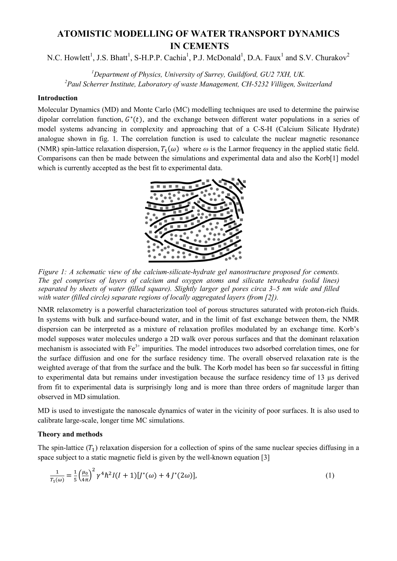# **ATOMISTIC MODELLING OF WATER TRANSPORT DYNAMICS IN CEMENTS**

N.C. Howlett<sup>1</sup>, J.S. Bhatt<sup>1</sup>, S-H.P.P. Cachia<sup>1</sup>, P.J. McDonald<sup>1</sup>, D.A. Faux<sup>1</sup> and S.V. Churakov<sup>2</sup>

*1 Department of Physics, University of Surrey, Guildford, GU2 7XH, UK. 2 Paul Scherrer Institute, Laboratory of waste Management, CH-5232 Villigen, Switzerland*

## **Introduction**

Molecular Dynamics (MD) and Monte Carlo (MC) modelling techniques are used to determine the pairwise dipolar correlation function,  $G^*(t)$ , and the exchange between different water populations in a series of model systems advancing in complexity and approaching that of a C-S-H (Calcium Silicate Hydrate) analogue shown in fig. 1. The correlation function is used to calculate the nuclear magnetic resonance (NMR) spin-lattice relaxation dispersion,  $T_1(\omega)$  where  $\omega$  is the Larmor frequency in the applied static field. Comparisons can then be made between the simulations and experimental data and also the Korb[1] model which is currently accepted as the best fit to experimental data.



*Figure 1: A schematic view of the calcium-silicate-hydrate gel nanostructure proposed for cements. The gel comprises of layers of calcium and oxygen atoms and silicate tetrahedra (solid lines) separated by sheets of water (filled square). Slightly larger gel pores circa 3–5 nm wide and filled with water (filled circle) separate regions of locally aggregated layers (from [2]).*

NMR relaxometry is a powerful characterization tool of porous structures saturated with proton-rich fluids. In systems with bulk and surface-bound water, and in the limit of fast exchange between them, the NMR dispersion can be interpreted as a mixture of relaxation profiles modulated by an exchange time. Korb's model supposes water molecules undergo a 2D walk over porous surfaces and that the dominant relaxation mechanism is associated with  $Fe<sup>3+</sup>$  impurities. The model introduces two adsorbed correlation times, one for the surface diffusion and one for the surface residency time. The overall observed relaxation rate is the weighted average of that from the surface and the bulk. The Korb model has been so far successful in fitting to experimental data but remains under investigation because the surface residency time of 13 µs derived from fit to experimental data is surprisingly long and is more than three orders of magnitude larger than observed in MD simulation.

MD is used to investigate the nanoscale dynamics of water in the vicinity of poor surfaces. It is also used to calibrate large-scale, longer time MC simulations.

### **Theory and methods**

The spin-lattice  $(T_1)$  relaxation dispersion for a collection of spins of the same nuclear species diffusing in a space subject to a static magnetic field is given by the well-known equation [3]

$$
\frac{1}{T_1(\omega)} = \frac{1}{5} \left(\frac{\mu_0}{4\pi}\right)^2 \gamma^4 \hbar^2 I(I+1)[J^*(\omega) + 4J^*(2\omega)],\tag{1}
$$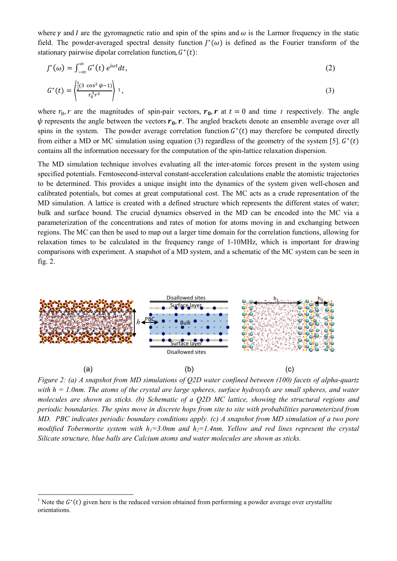where  $\gamma$  and *I* are the gyromagnetic ratio and spin of the spins and  $\omega$  is the Larmor frequency in the static field. The powder-averaged spectral density function  $I^*(\omega)$  is defined as the Fourier transform of the stationary pairwise dipolar correlation function,  $G^*(t)$ :

$$
J^*(\omega) = \int_{-\infty}^{\infty} G^*(t) e^{i\omega t} dt,
$$
\n(2)

$$
G^*(t) = \left\langle \frac{\frac{1}{2}(3\cos^2\psi - 1)}{r_0^3 r^3} \right\rangle 1, \tag{3}
$$

where  $r_0$ ,  $r$  are the magnitudes of spin-pair vectors,  $r_0$ ,  $r$  at  $t = 0$  and time  $t$  respectively. The angle  $\psi$  represents the angle between the vectors  $r_0$ , r. The angled brackets denote an ensemble average over all spins in the system. The powder average correlation function  $G^*(t)$  may therefore be computed directly from either a MD or MC simulation using equation (3) regardless of the geometry of the system [5].  $G^*(t)$ contains all the information necessary for the computation of the spin-lattice relaxation dispersion.

The MD simulation technique involves evaluating all the inter-atomic forces present in the system using specified potentials. Femtosecond-interval constant-acceleration calculations enable the atomistic trajectories to be determined. This provides a unique insight into the dynamics of the system given well-chosen and calibrated potentials, but comes at great computational cost. The MC acts as a crude representation of the MD simulation. A lattice is created with a defined structure which represents the different states of water; bulk and surface bound. The crucial dynamics observed in the MD can be encoded into the MC via a parameterization of the concentrations and rates of motion for atoms moving in and exchanging between regions. The MC can then be used to map out a larger time domain for the correlation functions, allowing for relaxation times to be calculated in the frequency range of 1-10MHz, which is important for drawing comparisons with experiment. A snapshot of a MD system, and a schematic of the MC system can be seen in fig. 2.



*Figure 2: (a) A snapshot from MD simulations of Q2D water confined between (100) facets of alpha-quartz with h = 1.0nm. The atoms of the crystal are large spheres, surface hydroxyls are small spheres, and water molecules are shown as sticks. (b) Schematic of a Q2D MC lattice, showing the structural regions and periodic boundaries. The spins move in discrete hops from site to site with probabilities parameterized from MD. PBC indicates periodic boundary conditions apply. (c) A snapshot from MD simulation of a two pore modified Tobermorite system with*  $h_1 = 3.0$ *nm and*  $h_2 = 1.4$ *nm. Yellow and red lines represent the crystal Silicate structure, blue balls are Calcium atoms and water molecules are shown as sticks.*

**.** 

<sup>&</sup>lt;sup>1</sup> Note the  $G^*(t)$  given here is the reduced version obtained from performing a powder average over crystallite orientations.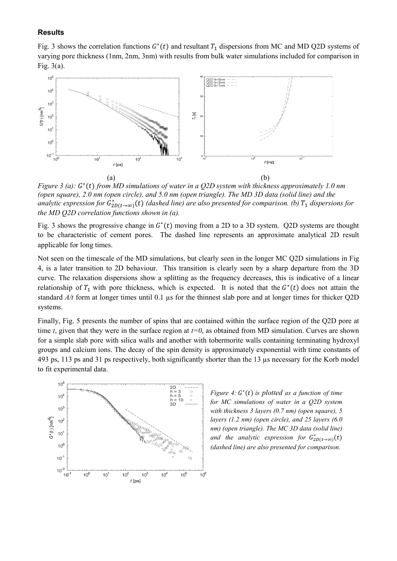#### **Results**

Fig. 3 shows the correlation functions  $G^*(t)$  and resultant  $T_1$  dispersions from MC and MD Q2D systems of varying pore thickness (1nm, 2nm, 3nm) with results from bulk water simulations included for comparison in Fig. 3(a).



*Figure 3 (a):*  $G^*(t)$  *from MD simulations of water in a Q2D system with thickness approximately 1.0 nm (open square), 2.0 nm (open circle), and 5.0 nm (open triangle). The MD 3D data (solid line) and the analytic expression for*  $G_{2D(t\to\infty)}^*(t)$  *(dashed line) are also presented for comparison. (b)*  $T_1$  *dispersions for the MD Q2D correlation functions shown in (a).*

Fig. 3 shows the progressive change in  $G^*(t)$  moving from a 2D to a 3D system. Q2D systems are thought to be characteristic of cement pores. The dashed line represents an approximate analytical 2D result applicable for long times.

Not seen on the timescale of the MD simulations, but clearly seen in the longer MC Q2D simulations in Fig 4, is a later transition to 2D behaviour. This transition is clearly seen by a sharp departure from the 3D curve. The relaxation dispersions show a splitting as the frequency decreases, this is indicative of a linear relationship of  $T_1$  with pore thickness, which is expected. It is noted that the  $G^*(t)$  does not attain the standard *A/t* form at longer times until 0.1 µs for the thinnest slab pore and at longer times for thicker Q2D systems.

Finally, Fig. 5 presents the number of spins that are contained within the surface region of the Q2D pore at time *t*, given that they were in the surface region at  $t=0$ , as obtained from MD simulation. Curves are shown for a simple slab pore with silica walls and another with tobermorite walls containing terminating hydroxyl groups and calcium ions. The decay of the spin density is approximately exponential with time constants of 493 ps, 113 ps and 31 ps respectively, both significantly shorter than the 13 µs necessary for the Korb model to fit experimental data.



*Figure 4:*  $G^*(t)$  *is plotted as a function of time for MC simulations of water in a Q2D system with thickness 3 layers (0.7 nm) (open square), 5 layers (1.2 nm) (open circle), and 25 layers (6.0 nm) (open triangle). The MC 3D data (solid line) and the analytic expression for*  $G_{2D(t\rightarrow\infty)}^*(t)$ *(dashed line) are also presented for comparison.*